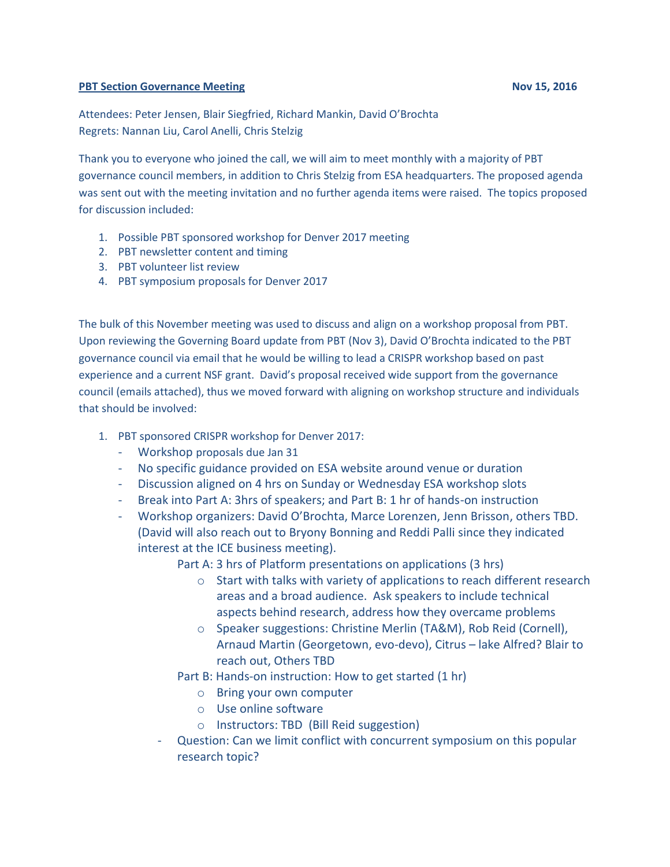#### **PBT Section Governance Meeting Nov 15, 2016**

Attendees: Peter Jensen, Blair Siegfried, Richard Mankin, David O'Brochta Regrets: Nannan Liu, Carol Anelli, Chris Stelzig

Thank you to everyone who joined the call, we will aim to meet monthly with a majority of PBT governance council members, in addition to Chris Stelzig from ESA headquarters. The proposed agenda was sent out with the meeting invitation and no further agenda items were raised. The topics proposed for discussion included:

- 1. Possible PBT sponsored workshop for Denver 2017 meeting
- 2. PBT newsletter content and timing
- 3. PBT volunteer list review
- 4. PBT symposium proposals for Denver 2017

The bulk of this November meeting was used to discuss and align on a workshop proposal from PBT. Upon reviewing the Governing Board update from PBT (Nov 3), David O'Brochta indicated to the PBT governance council via email that he would be willing to lead a CRISPR workshop based on past experience and a current NSF grant. David's proposal received wide support from the governance council (emails attached), thus we moved forward with aligning on workshop structure and individuals that should be involved:

- 1. PBT sponsored CRISPR workshop for Denver 2017:
	- Workshop proposals due Jan 31
	- No specific guidance provided on ESA website around venue or duration
	- Discussion aligned on 4 hrs on Sunday or Wednesday ESA workshop slots
	- Break into Part A: 3hrs of speakers; and Part B: 1 hr of hands-on instruction
	- Workshop organizers: David O'Brochta, Marce Lorenzen, Jenn Brisson, others TBD. (David will also reach out to Bryony Bonning and Reddi Palli since they indicated interest at the ICE business meeting).

Part A: 3 hrs of Platform presentations on applications (3 hrs)

- o Start with talks with variety of applications to reach different research areas and a broad audience. Ask speakers to include technical aspects behind research, address how they overcame problems
- o Speaker suggestions: Christine Merlin (TA&M), Rob Reid (Cornell), Arnaud Martin (Georgetown, evo-devo), Citrus – lake Alfred? Blair to reach out, Others TBD
- Part B: Hands-on instruction: How to get started (1 hr)
	- o Bring your own computer
	- o Use online software
	- o Instructors: TBD (Bill Reid suggestion)
- Question: Can we limit conflict with concurrent symposium on this popular research topic?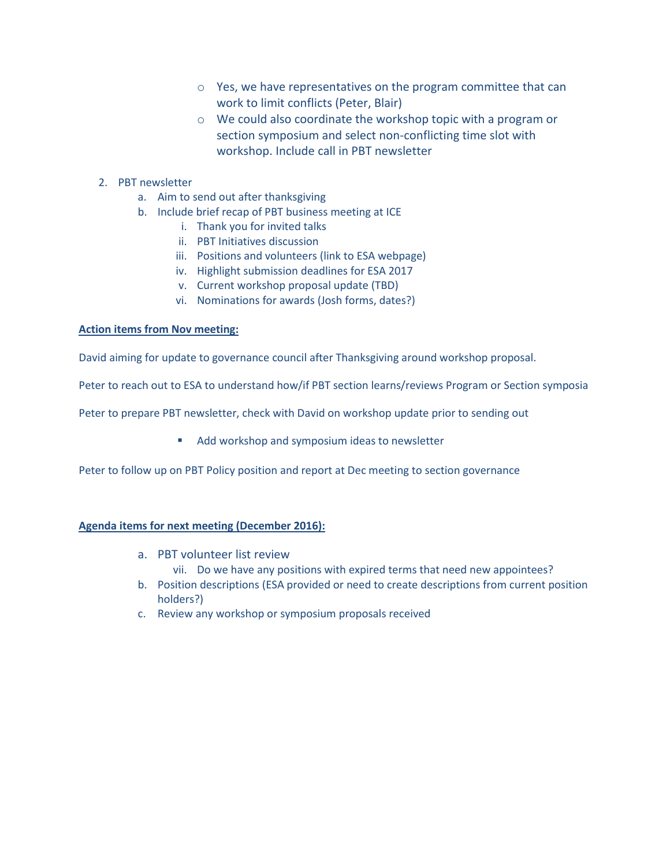- o Yes, we have representatives on the program committee that can work to limit conflicts (Peter, Blair)
- o We could also coordinate the workshop topic with a program or section symposium and select non-conflicting time slot with workshop. Include call in PBT newsletter

## 2. PBT newsletter

- a. Aim to send out after thanksgiving
- b. Include brief recap of PBT business meeting at ICE
	- i. Thank you for invited talks
	- ii. PBT Initiatives discussion
	- iii. Positions and volunteers (link to ESA webpage)
	- iv. Highlight submission deadlines for ESA 2017
	- v. Current workshop proposal update (TBD)
	- vi. Nominations for awards (Josh forms, dates?)

#### **Action items from Nov meeting:**

David aiming for update to governance council after Thanksgiving around workshop proposal.

Peter to reach out to ESA to understand how/if PBT section learns/reviews Program or Section symposia

Peter to prepare PBT newsletter, check with David on workshop update prior to sending out

Add workshop and symposium ideas to newsletter

Peter to follow up on PBT Policy position and report at Dec meeting to section governance

### **Agenda items for next meeting (December 2016):**

- a. PBT volunteer list review
	- vii. Do we have any positions with expired terms that need new appointees?
- b. Position descriptions (ESA provided or need to create descriptions from current position holders?)
- c. Review any workshop or symposium proposals received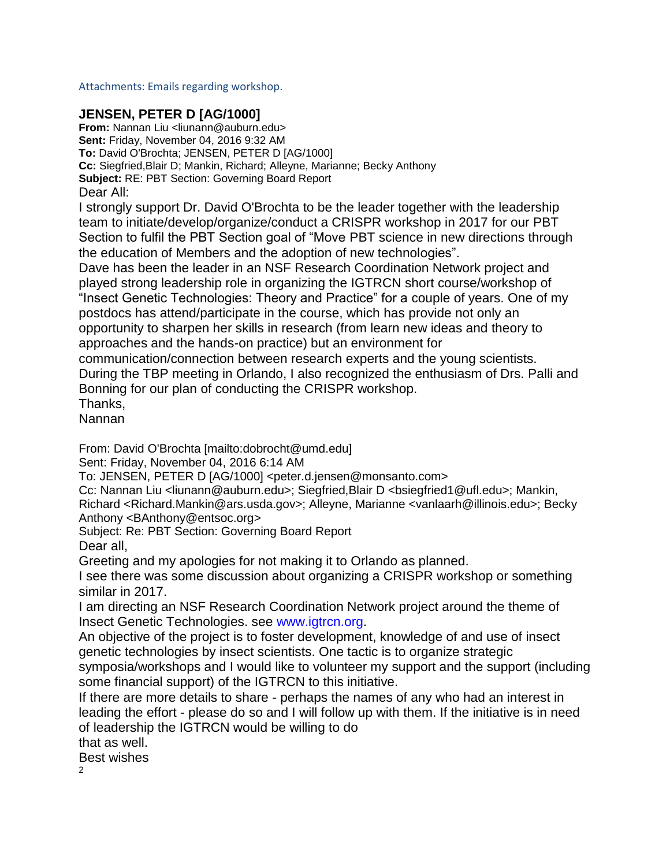Attachments: Emails regarding workshop.

# **JENSEN, PETER D [AG/1000]**

**From:** Nannan Liu <liunann@auburn.edu> **Sent:** Friday, November 04, 2016 9:32 AM **To:** David O'Brochta; JENSEN, PETER D [AG/1000] **Cc:** Siegfried,Blair D; Mankin, Richard; Alleyne, Marianne; Becky Anthony **Subject:** RE: PBT Section: Governing Board Report Dear All:

I strongly support Dr. David O'Brochta to be the leader together with the leadership team to initiate/develop/organize/conduct a CRISPR workshop in 2017 for our PBT Section to fulfil the PBT Section goal of "Move PBT science in new directions through the education of Members and the adoption of new technologies".

Dave has been the leader in an NSF Research Coordination Network project and played strong leadership role in organizing the IGTRCN short course/workshop of "Insect Genetic Technologies: Theory and Practice" for a couple of years. One of my postdocs has attend/participate in the course, which has provide not only an opportunity to sharpen her skills in research (from learn new ideas and theory to approaches and the hands-on practice) but an environment for

communication/connection between research experts and the young scientists. During the TBP meeting in Orlando, I also recognized the enthusiasm of Drs. Palli and Bonning for our plan of conducting the CRISPR workshop.

Thanks,

Nannan

From: David O'Brochta [mailto:dobrocht@umd.edu]

Sent: Friday, November 04, 2016 6:14 AM

To: JENSEN, PETER D [AG/1000] <peter.d.jensen@monsanto.com>

Cc: Nannan Liu <liunann@auburn.edu>; Siegfried,Blair D <bsiegfried1@ufl.edu>; Mankin, Richard <Richard.Mankin@ars.usda.gov>; Alleyne, Marianne <vanlaarh@illinois.edu>; Becky Anthony <BAnthony@entsoc.org>

Subject: Re: PBT Section: Governing Board Report

Dear all,

Greeting and my apologies for not making it to Orlando as planned.

I see there was some discussion about organizing a CRISPR workshop or something similar in 2017.

I am directing an NSF Research Coordination Network project around the theme of Insect Genetic Technologies. see www.igtrcn.org.

An objective of the project is to foster development, knowledge of and use of insect genetic technologies by insect scientists. One tactic is to organize strategic

symposia/workshops and I would like to volunteer my support and the support (including some financial support) of the IGTRCN to this initiative.

If there are more details to share - perhaps the names of any who had an interest in leading the effort - please do so and I will follow up with them. If the initiative is in need of leadership the IGTRCN would be willing to do

that as well.

Best wishes

 $\mathfrak{p}$